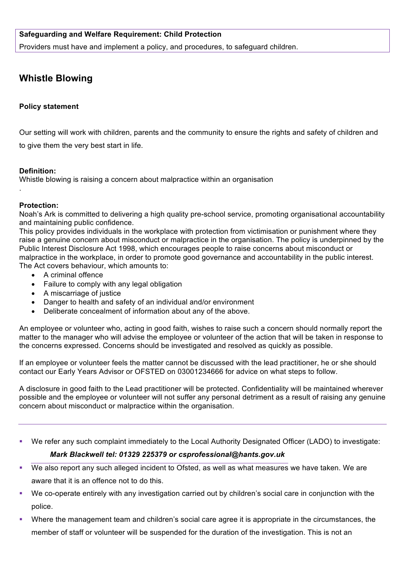## **Safeguarding and Welfare Requirement: Child Protection**

Providers must have and implement a policy, and procedures, to safeguard children.

# **Whistle Blowing**

#### **Policy statement**

Our setting will work with children, parents and the community to ensure the rights and safety of children and to give them the very best start in life.

#### **Definition:**

.

Whistle blowing is raising a concern about malpractice within an organisation

#### **Protection:**

Noah's Ark is committed to delivering a high quality pre-school service, promoting organisational accountability and maintaining public confidence.

This policy provides individuals in the workplace with protection from victimisation or punishment where they raise a genuine concern about misconduct or malpractice in the organisation. The policy is underpinned by the Public Interest Disclosure Act 1998, which encourages people to raise concerns about misconduct or malpractice in the workplace, in order to promote good governance and accountability in the public interest. The Act covers behaviour, which amounts to:

- A criminal offence
- Failure to comply with any legal obligation
- A miscarriage of justice
- Danger to health and safety of an individual and/or environment
- Deliberate concealment of information about any of the above.

An employee or volunteer who, acting in good faith, wishes to raise such a concern should normally report the matter to the manager who will advise the employee or volunteer of the action that will be taken in response to the concerns expressed. Concerns should be investigated and resolved as quickly as possible.

If an employee or volunteer feels the matter cannot be discussed with the lead practitioner, he or she should contact our Early Years Advisor or OFSTED on 03001234666 for advice on what steps to follow.

A disclosure in good faith to the Lead practitioner will be protected. Confidentiality will be maintained wherever possible and the employee or volunteer will not suffer any personal detriment as a result of raising any genuine concern about misconduct or malpractice within the organisation.

- We refer any such complaint immediately to the Local Authority Designated Officer (LADO) to investigate: *Mark Blackwell tel: 01329 225379 or csprofessional@hants.gov.uk*
- We also report any such alleged incident to Ofsted, as well as what measures we have taken. We are aware that it is an offence not to do this.
- § We co-operate entirely with any investigation carried out by children's social care in conjunction with the police.
- Where the management team and children's social care agree it is appropriate in the circumstances, the member of staff or volunteer will be suspended for the duration of the investigation. This is not an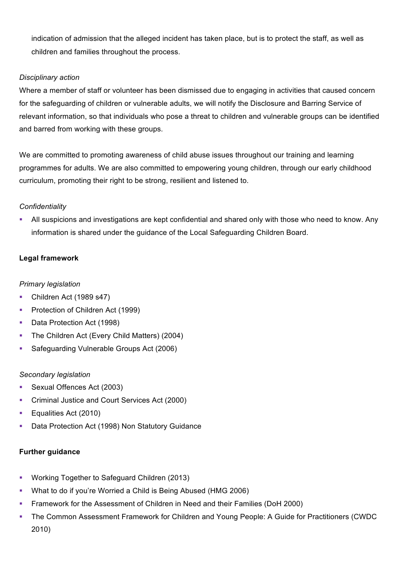indication of admission that the alleged incident has taken place, but is to protect the staff, as well as children and families throughout the process.

#### *Disciplinary action*

Where a member of staff or volunteer has been dismissed due to engaging in activities that caused concern for the safeguarding of children or vulnerable adults, we will notify the Disclosure and Barring Service of relevant information, so that individuals who pose a threat to children and vulnerable groups can be identified and barred from working with these groups.

We are committed to promoting awareness of child abuse issues throughout our training and learning programmes for adults. We are also committed to empowering young children, through our early childhood curriculum, promoting their right to be strong, resilient and listened to.

#### *Confidentiality*

• All suspicions and investigations are kept confidential and shared only with those who need to know. Any information is shared under the guidance of the Local Safeguarding Children Board.

## **Legal framework**

## *Primary legislation*

- Children Act (1989 s47)
- Protection of Children Act (1999)
- § Data Protection Act (1998)
- The Children Act (Every Child Matters) (2004)
- Safeguarding Vulnerable Groups Act (2006)

#### *Secondary legislation*

- Sexual Offences Act (2003)
- Criminal Justice and Court Services Act (2000)
- Equalities Act (2010)
- Data Protection Act (1998) Non Statutory Guidance

## **Further guidance**

- Working Together to Safeguard Children (2013)
- § What to do if you're Worried a Child is Being Abused (HMG 2006)
- § Framework for the Assessment of Children in Need and their Families (DoH 2000)
- The Common Assessment Framework for Children and Young People: A Guide for Practitioners (CWDC 2010)